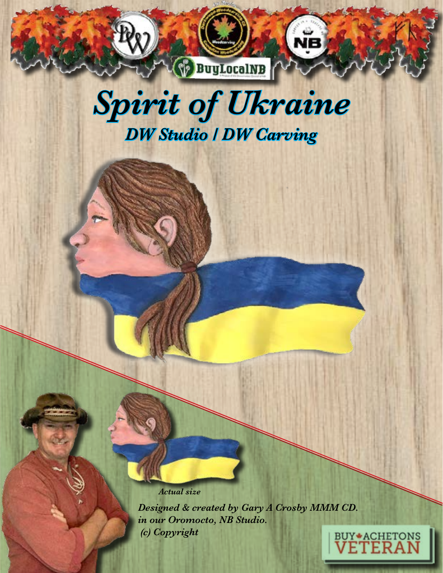## *Spirit of Ukraine DW Studio / DW Carving*

**BuyLocalNB** 

чĕ

*Actual size*

*Designed & created by Gary A Crosby MMM CD. in our Oromocto, NB Studio. (c) Copyright* 

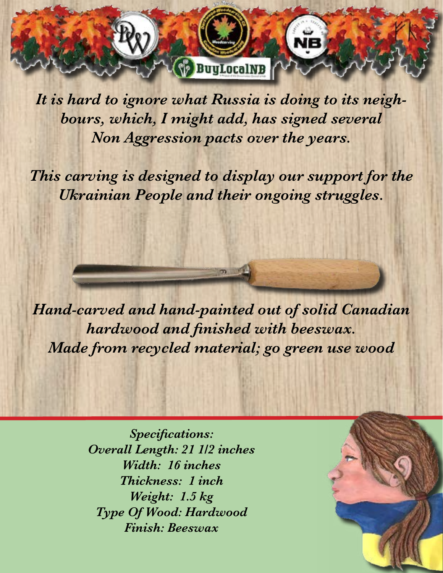*It is hard to ignore what Russia is doing to its neighbours, which, I might add, has signed several Non Aggression pacts over the years.* 

**BuyLocalNB** 

*This carving is designed to display our support for the Ukrainian People and their ongoing struggles.*

*Hand-carved and hand-painted out of solid Canadian hardwood and finished with beeswax. Made from recycled material; go green use wood* 

> *Specifications: Overall Length: 21 1/2 inches Width: 16 inches Thickness: 1 inch Weight: 1.5 kg Type Of Wood: Hardwood Finish: Beeswax*

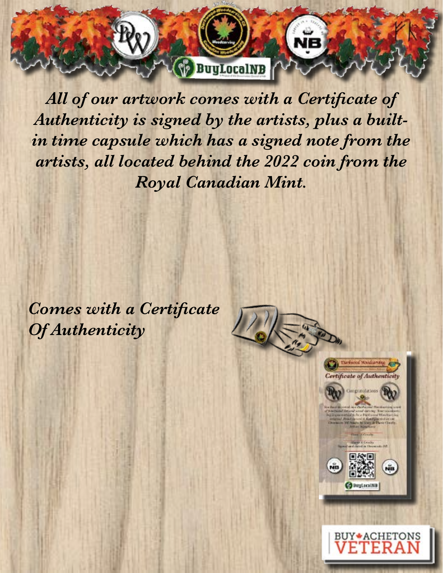*All of our artwork comes with a Certificate of Authenticity is signed by the artists, plus a builtin time capsule which has a signed note from the artists, all located behind the 2022 coin from the Royal Canadian Mint.*

**BuyLocalNB** 

*Comes with a Certificate Of Authenticity*